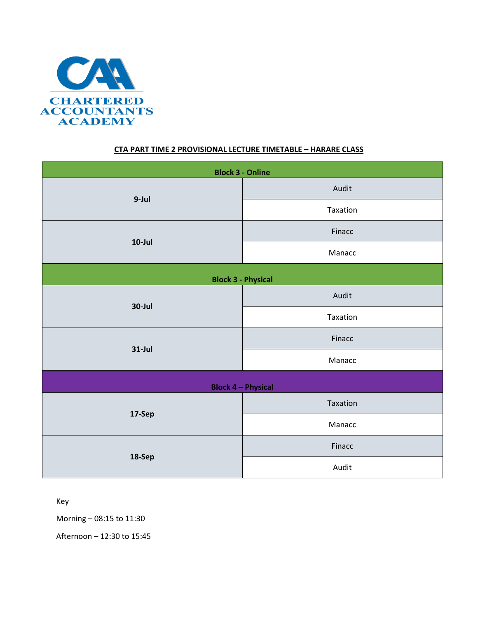

## **CTA PART TIME 2 PROVISIONAL LECTURE TIMETABLE – HARARE CLASS**

| <b>Block 3 - Online</b>   |          |  |  |  |
|---------------------------|----------|--|--|--|
| 9-Jul                     | Audit    |  |  |  |
|                           | Taxation |  |  |  |
| $10$ -Jul                 | Finacc   |  |  |  |
|                           | Manacc   |  |  |  |
| <b>Block 3 - Physical</b> |          |  |  |  |
| 30-Jul                    | Audit    |  |  |  |
|                           | Taxation |  |  |  |
| $31$ -Jul                 | Finacc   |  |  |  |
|                           | Manacc   |  |  |  |
| <b>Block 4 - Physical</b> |          |  |  |  |
| 17-Sep                    | Taxation |  |  |  |
|                           | Manacc   |  |  |  |
| 18-Sep                    | Finacc   |  |  |  |
|                           | Audit    |  |  |  |

Key

Morning – 08:15 to 11:30

Afternoon – 12:30 to 15:45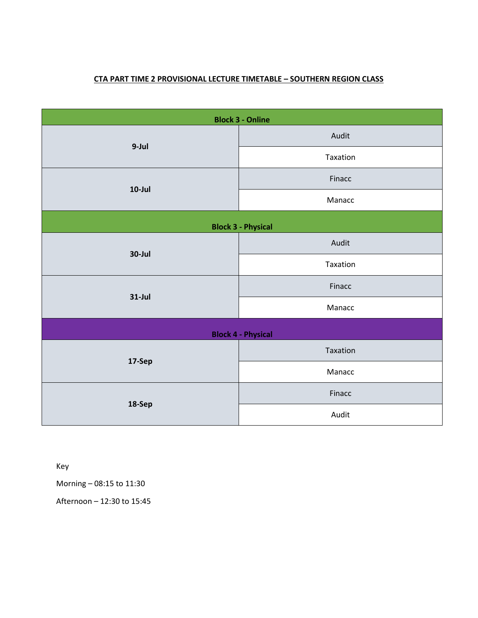## **CTA PART TIME 2 PROVISIONAL LECTURE TIMETABLE – SOUTHERN REGION CLASS**

| <b>Block 3 - Online</b>   |          |  |  |  |
|---------------------------|----------|--|--|--|
| 9-Jul                     | Audit    |  |  |  |
|                           | Taxation |  |  |  |
| $10$ -Jul                 | Finacc   |  |  |  |
|                           | Manacc   |  |  |  |
| <b>Block 3 - Physical</b> |          |  |  |  |
| 30-Jul                    | Audit    |  |  |  |
|                           | Taxation |  |  |  |
| $31$ -Jul                 | Finacc   |  |  |  |
|                           | Manacc   |  |  |  |
| <b>Block 4 - Physical</b> |          |  |  |  |
| 17-Sep                    | Taxation |  |  |  |
|                           | Manacc   |  |  |  |
| 18-Sep                    | Finacc   |  |  |  |
|                           | Audit    |  |  |  |

Key

Morning – 08:15 to 11:30

Afternoon – 12:30 to 15:45